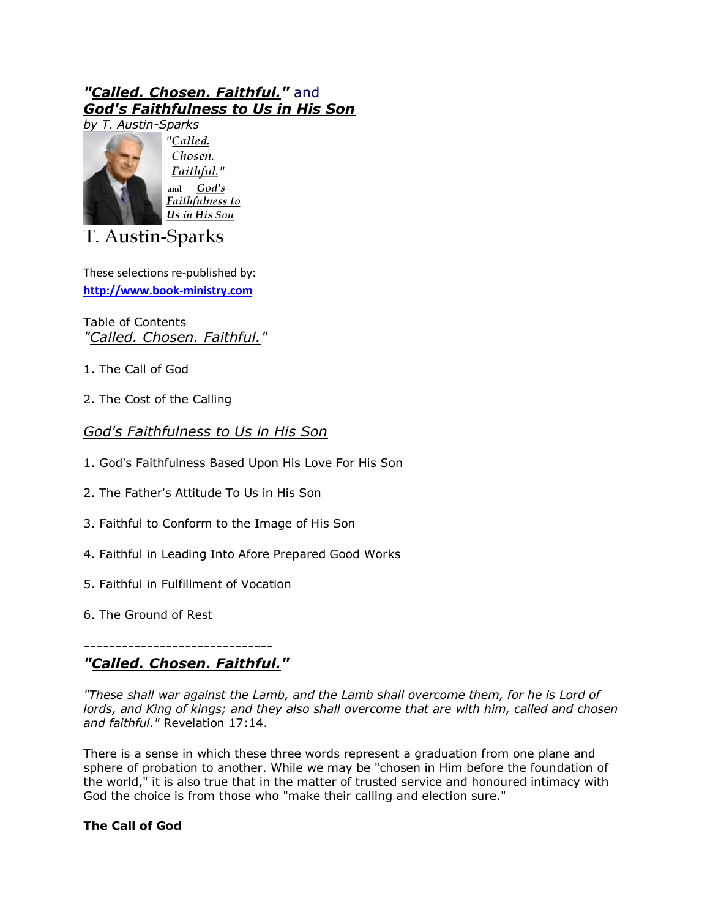# *"Called. Chosen. Faithful."* and *God's Faithfulness to Us in His Son*



"Called. Chosen. Faithful." and God's Faithfulness to Us in His Son

T. Austin-Sparks

These selections re-published by: **[http://www.book-ministry.com](http://www.book-ministry.com/)**

Table of Contents *"Called. Chosen. Faithful."*

- 1. The Call of God
- 2. The Cost of the Calling

# *God's Faithfulness to Us in His Son*

- 1. God's Faithfulness Based Upon His Love For His Son
- 2. The Father's Attitude To Us in His Son
- 3. Faithful to Conform to the Image of His Son
- 4. Faithful in Leading Into Afore Prepared Good Works
- 5. Faithful in Fulfillment of Vocation
- 6. The Ground of Rest

#### *------------------------------ "Called. Chosen. Faithful."*

*"These shall war against the Lamb, and the Lamb shall overcome them, for he is Lord of lords, and King of kings; and they also shall overcome that are with him, called and chosen and faithful."* Revelation 17:14.

There is a sense in which these three words represent a graduation from one plane and sphere of probation to another. While we may be "chosen in Him before the foundation of the world," it is also true that in the matter of trusted service and honoured intimacy with God the choice is from those who "make their calling and election sure."

# **The Call of God**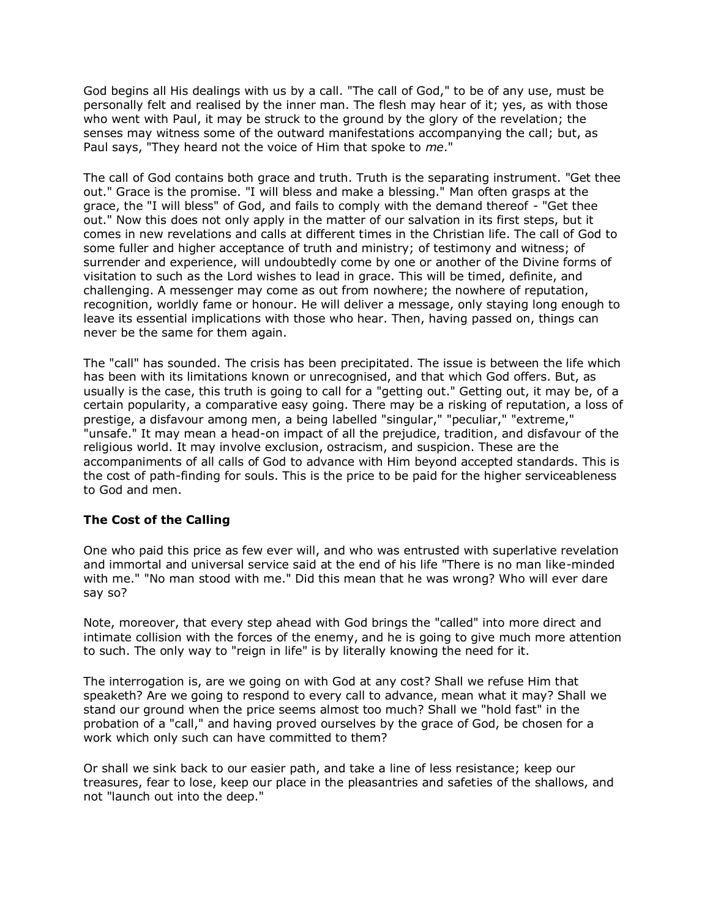God begins all His dealings with us by a call. "The call of God," to be of any use, must be personally felt and realised by the inner man. The flesh may hear of it; yes, as with those who went with Paul, it may be struck to the ground by the glory of the revelation; the senses may witness some of the outward manifestations accompanying the call; but, as Paul says, "They heard not the voice of Him that spoke to *me*."

The call of God contains both grace and truth. Truth is the separating instrument. "Get thee out." Grace is the promise. "I will bless and make a blessing." Man often grasps at the grace, the "I will bless" of God, and fails to comply with the demand thereof - "Get thee out." Now this does not only apply in the matter of our salvation in its first steps, but it comes in new revelations and calls at different times in the Christian life. The call of God to some fuller and higher acceptance of truth and ministry; of testimony and witness; of surrender and experience, will undoubtedly come by one or another of the Divine forms of visitation to such as the Lord wishes to lead in grace. This will be timed, definite, and challenging. A messenger may come as out from nowhere; the nowhere of reputation, recognition, worldly fame or honour. He will deliver a message, only staying long enough to leave its essential implications with those who hear. Then, having passed on, things can never be the same for them again.

The "call" has sounded. The crisis has been precipitated. The issue is between the life which has been with its limitations known or unrecognised, and that which God offers. But, as usually is the case, this truth is going to call for a "getting out." Getting out, it may be, of a certain popularity, a comparative easy going. There may be a risking of reputation, a loss of prestige, a disfavour among men, a being labelled "singular," "peculiar," "extreme," "unsafe." It may mean a head-on impact of all the prejudice, tradition, and disfavour of the religious world. It may involve exclusion, ostracism, and suspicion. These are the accompaniments of all calls of God to advance with Him beyond accepted standards. This is the cost of path-finding for souls. This is the price to be paid for the higher serviceableness to God and men.

## **The Cost of the Calling**

One who paid this price as few ever will, and who was entrusted with superlative revelation and immortal and universal service said at the end of his life "There is no man like-minded with me." "No man stood with me." Did this mean that he was wrong? Who will ever dare say so?

Note, moreover, that every step ahead with God brings the "called" into more direct and intimate collision with the forces of the enemy, and he is going to give much more attention to such. The only way to "reign in life" is by literally knowing the need for it.

The interrogation is, are we going on with God at any cost? Shall we refuse Him that speaketh? Are we going to respond to every call to advance, mean what it may? Shall we stand our ground when the price seems almost too much? Shall we "hold fast" in the probation of a "call," and having proved ourselves by the grace of God, be chosen for a work which only such can have committed to them?

Or shall we sink back to our easier path, and take a line of less resistance; keep our treasures, fear to lose, keep our place in the pleasantries and safeties of the shallows, and not "launch out into the deep."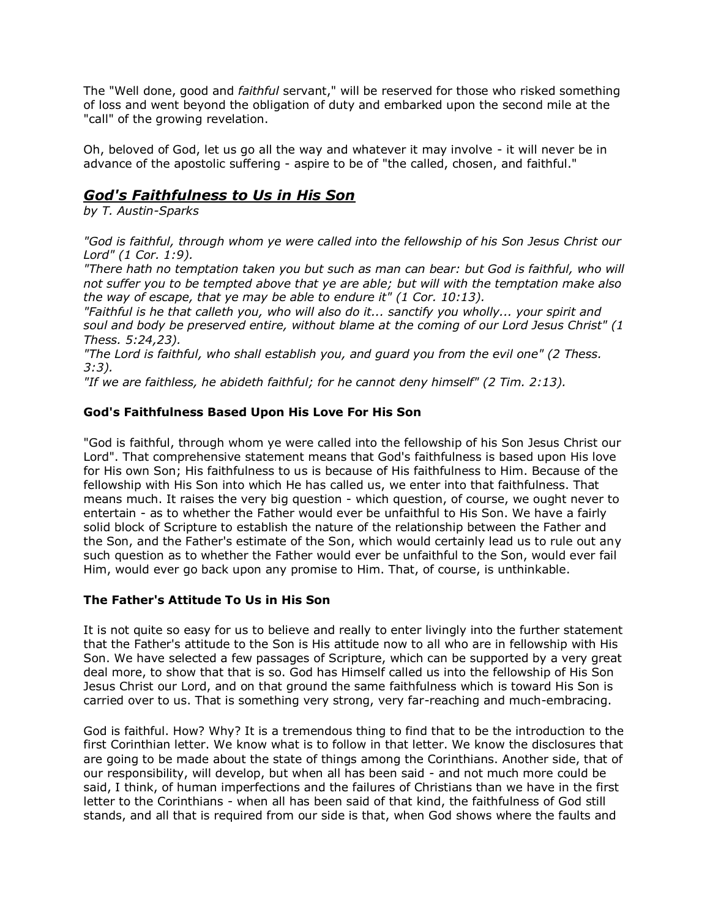The "Well done, good and *faithful* servant," will be reserved for those who risked something of loss and went beyond the obligation of duty and embarked upon the second mile at the "call" of the growing revelation.

Oh, beloved of God, let us go all the way and whatever it may involve - it will never be in advance of the apostolic suffering - aspire to be of "the called, chosen, and faithful."

# *God's Faithfulness to Us in His Son*

*by T. Austin-Sparks*

*"God is faithful, through whom ye were called into the fellowship of his Son Jesus Christ our Lord" (1 Cor. 1:9).*

*"There hath no temptation taken you but such as man can bear: but God is faithful, who will not suffer you to be tempted above that ye are able; but will with the temptation make also the way of escape, that ye may be able to endure it" (1 Cor. 10:13).*

*"Faithful is he that calleth you, who will also do it... sanctify you wholly... your spirit and soul and body be preserved entire, without blame at the coming of our Lord Jesus Christ" (1 Thess. 5:24,23).*

*"The Lord is faithful, who shall establish you, and guard you from the evil one" (2 Thess. 3:3).*

*"If we are faithless, he abideth faithful; for he cannot deny himself" (2 Tim. 2:13).*

## **God's Faithfulness Based Upon His Love For His Son**

"God is faithful, through whom ye were called into the fellowship of his Son Jesus Christ our Lord". That comprehensive statement means that God's faithfulness is based upon His love for His own Son; His faithfulness to us is because of His faithfulness to Him. Because of the fellowship with His Son into which He has called us, we enter into that faithfulness. That means much. It raises the very big question - which question, of course, we ought never to entertain - as to whether the Father would ever be unfaithful to His Son. We have a fairly solid block of Scripture to establish the nature of the relationship between the Father and the Son, and the Father's estimate of the Son, which would certainly lead us to rule out any such question as to whether the Father would ever be unfaithful to the Son, would ever fail Him, would ever go back upon any promise to Him. That, of course, is unthinkable.

## **The Father's Attitude To Us in His Son**

It is not quite so easy for us to believe and really to enter livingly into the further statement that the Father's attitude to the Son is His attitude now to all who are in fellowship with His Son. We have selected a few passages of Scripture, which can be supported by a very great deal more, to show that that is so. God has Himself called us into the fellowship of His Son Jesus Christ our Lord, and on that ground the same faithfulness which is toward His Son is carried over to us. That is something very strong, very far-reaching and much-embracing.

God is faithful. How? Why? It is a tremendous thing to find that to be the introduction to the first Corinthian letter. We know what is to follow in that letter. We know the disclosures that are going to be made about the state of things among the Corinthians. Another side, that of our responsibility, will develop, but when all has been said - and not much more could be said, I think, of human imperfections and the failures of Christians than we have in the first letter to the Corinthians - when all has been said of that kind, the faithfulness of God still stands, and all that is required from our side is that, when God shows where the faults and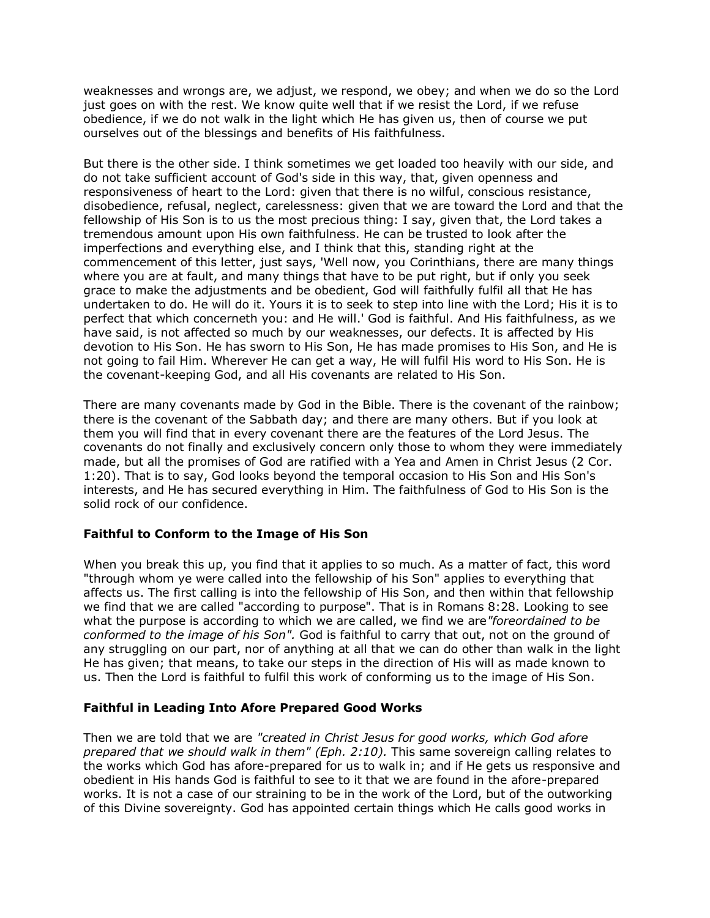weaknesses and wrongs are, we adjust, we respond, we obey; and when we do so the Lord just goes on with the rest. We know quite well that if we resist the Lord, if we refuse obedience, if we do not walk in the light which He has given us, then of course we put ourselves out of the blessings and benefits of His faithfulness.

But there is the other side. I think sometimes we get loaded too heavily with our side, and do not take sufficient account of God's side in this way, that, given openness and responsiveness of heart to the Lord: given that there is no wilful, conscious resistance, disobedience, refusal, neglect, carelessness: given that we are toward the Lord and that the fellowship of His Son is to us the most precious thing: I say, given that, the Lord takes a tremendous amount upon His own faithfulness. He can be trusted to look after the imperfections and everything else, and I think that this, standing right at the commencement of this letter, just says, 'Well now, you Corinthians, there are many things where you are at fault, and many things that have to be put right, but if only you seek grace to make the adjustments and be obedient, God will faithfully fulfil all that He has undertaken to do. He will do it. Yours it is to seek to step into line with the Lord; His it is to perfect that which concerneth you: and He will.' God is faithful. And His faithfulness, as we have said, is not affected so much by our weaknesses, our defects. It is affected by His devotion to His Son. He has sworn to His Son, He has made promises to His Son, and He is not going to fail Him. Wherever He can get a way, He will fulfil His word to His Son. He is the covenant-keeping God, and all His covenants are related to His Son.

There are many covenants made by God in the Bible. There is the covenant of the rainbow; there is the covenant of the Sabbath day; and there are many others. But if you look at them you will find that in every covenant there are the features of the Lord Jesus. The covenants do not finally and exclusively concern only those to whom they were immediately made, but all the promises of God are ratified with a Yea and Amen in Christ Jesus (2 Cor. 1:20). That is to say, God looks beyond the temporal occasion to His Son and His Son's interests, and He has secured everything in Him. The faithfulness of God to His Son is the solid rock of our confidence.

#### **Faithful to Conform to the Image of His Son**

When you break this up, you find that it applies to so much. As a matter of fact, this word "through whom ye were called into the fellowship of his Son" applies to everything that affects us. The first calling is into the fellowship of His Son, and then within that fellowship we find that we are called "according to purpose". That is in Romans 8:28. Looking to see what the purpose is according to which we are called, we find we are*"foreordained to be conformed to the image of his Son".* God is faithful to carry that out, not on the ground of any struggling on our part, nor of anything at all that we can do other than walk in the light He has given; that means, to take our steps in the direction of His will as made known to us. Then the Lord is faithful to fulfil this work of conforming us to the image of His Son.

#### **Faithful in Leading Into Afore Prepared Good Works**

Then we are told that we are *"created in Christ Jesus for good works, which God afore prepared that we should walk in them" (Eph. 2:10).* This same sovereign calling relates to the works which God has afore-prepared for us to walk in; and if He gets us responsive and obedient in His hands God is faithful to see to it that we are found in the afore-prepared works. It is not a case of our straining to be in the work of the Lord, but of the outworking of this Divine sovereignty. God has appointed certain things which He calls good works in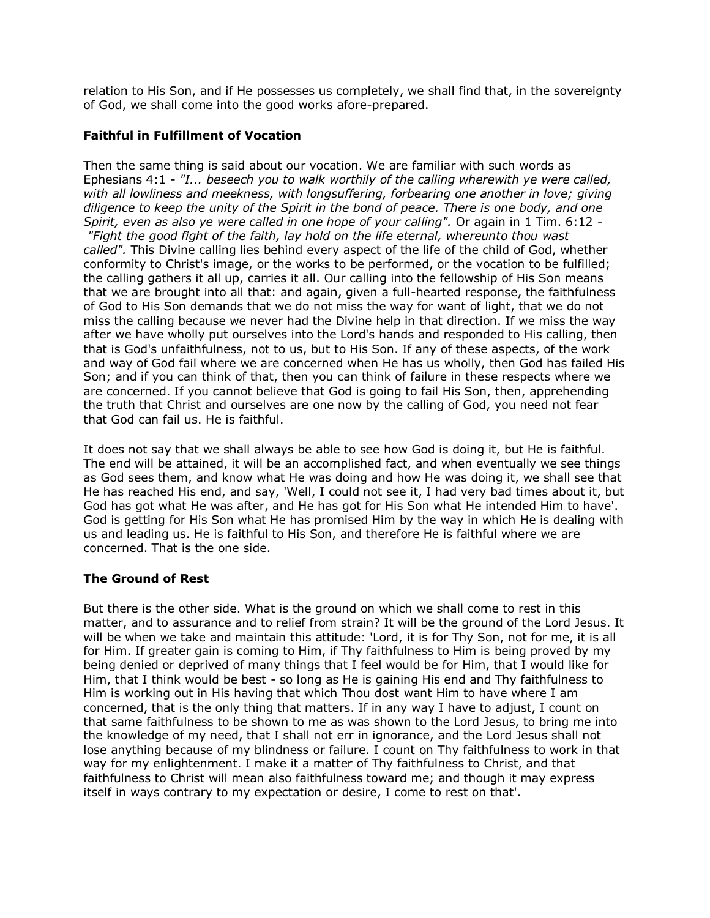relation to His Son, and if He possesses us completely, we shall find that, in the sovereignty of God, we shall come into the good works afore-prepared.

#### **Faithful in Fulfillment of Vocation**

Then the same thing is said about our vocation. We are familiar with such words as Ephesians 4:1 - *"I... beseech you to walk worthily of the calling wherewith ye were called, with all lowliness and meekness, with longsuffering, forbearing one another in love; giving diligence to keep the unity of the Spirit in the bond of peace. There is one body, and one Spirit, even as also ye were called in one hope of your calling".* Or again in 1 Tim. 6:12 -

*"Fight the good fight of the faith, lay hold on the life eternal, whereunto thou wast called".* This Divine calling lies behind every aspect of the life of the child of God, whether conformity to Christ's image, or the works to be performed, or the vocation to be fulfilled; the calling gathers it all up, carries it all. Our calling into the fellowship of His Son means that we are brought into all that: and again, given a full-hearted response, the faithfulness of God to His Son demands that we do not miss the way for want of light, that we do not miss the calling because we never had the Divine help in that direction. If we miss the way after we have wholly put ourselves into the Lord's hands and responded to His calling, then that is God's unfaithfulness, not to us, but to His Son. If any of these aspects, of the work and way of God fail where we are concerned when He has us wholly, then God has failed His Son; and if you can think of that, then you can think of failure in these respects where we are concerned. If you cannot believe that God is going to fail His Son, then, apprehending the truth that Christ and ourselves are one now by the calling of God, you need not fear that God can fail us. He is faithful.

It does not say that we shall always be able to see how God is doing it, but He is faithful. The end will be attained, it will be an accomplished fact, and when eventually we see things as God sees them, and know what He was doing and how He was doing it, we shall see that He has reached His end, and say, 'Well, I could not see it, I had very bad times about it, but God has got what He was after, and He has got for His Son what He intended Him to have'. God is getting for His Son what He has promised Him by the way in which He is dealing with us and leading us. He is faithful to His Son, and therefore He is faithful where we are concerned. That is the one side.

## **The Ground of Rest**

But there is the other side. What is the ground on which we shall come to rest in this matter, and to assurance and to relief from strain? It will be the ground of the Lord Jesus. It will be when we take and maintain this attitude: 'Lord, it is for Thy Son, not for me, it is all for Him. If greater gain is coming to Him, if Thy faithfulness to Him is being proved by my being denied or deprived of many things that I feel would be for Him, that I would like for Him, that I think would be best - so long as He is gaining His end and Thy faithfulness to Him is working out in His having that which Thou dost want Him to have where I am concerned, that is the only thing that matters. If in any way I have to adjust, I count on that same faithfulness to be shown to me as was shown to the Lord Jesus, to bring me into the knowledge of my need, that I shall not err in ignorance, and the Lord Jesus shall not lose anything because of my blindness or failure. I count on Thy faithfulness to work in that way for my enlightenment. I make it a matter of Thy faithfulness to Christ, and that faithfulness to Christ will mean also faithfulness toward me; and though it may express itself in ways contrary to my expectation or desire, I come to rest on that'.